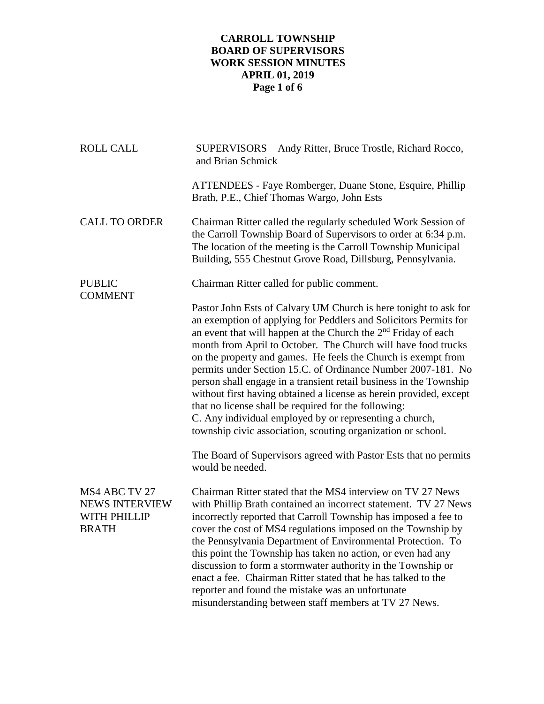# **CARROLL TOWNSHIP BOARD OF SUPERVISORS WORK SESSION MINUTES APRIL 01, 2019 Page 1 of 6**

| <b>ROLL CALL</b>                                                       | SUPERVISORS – Andy Ritter, Bruce Trostle, Richard Rocco,<br>and Brian Schmick                                                                                                                                                                                                                                                                                                                                                                                                                                                                                                                                                                                                                                                             |
|------------------------------------------------------------------------|-------------------------------------------------------------------------------------------------------------------------------------------------------------------------------------------------------------------------------------------------------------------------------------------------------------------------------------------------------------------------------------------------------------------------------------------------------------------------------------------------------------------------------------------------------------------------------------------------------------------------------------------------------------------------------------------------------------------------------------------|
|                                                                        | ATTENDEES - Faye Romberger, Duane Stone, Esquire, Phillip<br>Brath, P.E., Chief Thomas Wargo, John Ests                                                                                                                                                                                                                                                                                                                                                                                                                                                                                                                                                                                                                                   |
| <b>CALL TO ORDER</b>                                                   | Chairman Ritter called the regularly scheduled Work Session of<br>the Carroll Township Board of Supervisors to order at 6:34 p.m.<br>The location of the meeting is the Carroll Township Municipal<br>Building, 555 Chestnut Grove Road, Dillsburg, Pennsylvania.                                                                                                                                                                                                                                                                                                                                                                                                                                                                         |
| <b>PUBLIC</b><br><b>COMMENT</b>                                        | Chairman Ritter called for public comment.                                                                                                                                                                                                                                                                                                                                                                                                                                                                                                                                                                                                                                                                                                |
|                                                                        | Pastor John Ests of Calvary UM Church is here tonight to ask for<br>an exemption of applying for Peddlers and Solicitors Permits for<br>an event that will happen at the Church the $2nd$ Friday of each<br>month from April to October. The Church will have food trucks<br>on the property and games. He feels the Church is exempt from<br>permits under Section 15.C. of Ordinance Number 2007-181. No<br>person shall engage in a transient retail business in the Township<br>without first having obtained a license as herein provided, except<br>that no license shall be required for the following:<br>C. Any individual employed by or representing a church,<br>township civic association, scouting organization or school. |
|                                                                        | The Board of Supervisors agreed with Pastor Ests that no permits<br>would be needed.                                                                                                                                                                                                                                                                                                                                                                                                                                                                                                                                                                                                                                                      |
| MS4 ABC TV 27<br><b>NEWS INTERVIEW</b><br>WITH PHILLIP<br><b>BRATH</b> | Chairman Ritter stated that the MS4 interview on TV 27 News<br>with Phillip Brath contained an incorrect statement. TV 27 News<br>incorrectly reported that Carroll Township has imposed a fee to<br>cover the cost of MS4 regulations imposed on the Township by<br>the Pennsylvania Department of Environmental Protection. To<br>this point the Township has taken no action, or even had any<br>discussion to form a stormwater authority in the Township or<br>enact a fee. Chairman Ritter stated that he has talked to the<br>reporter and found the mistake was an unfortunate<br>misunderstanding between staff members at TV 27 News.                                                                                           |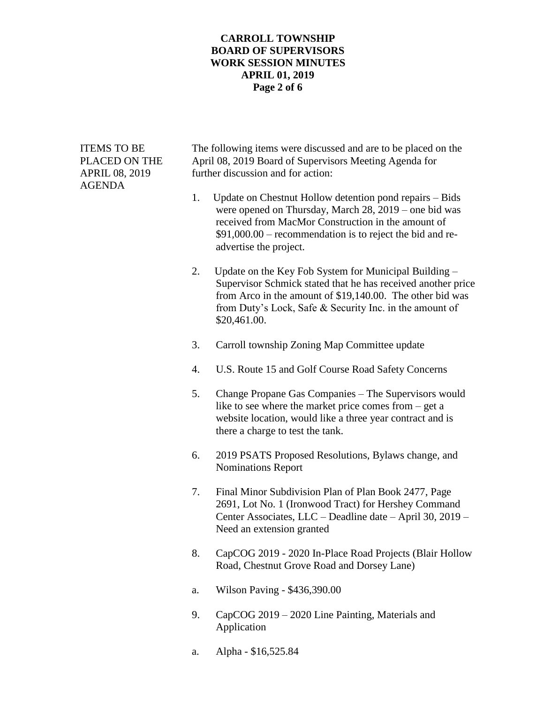#### **CARROLL TOWNSHIP BOARD OF SUPERVISORS WORK SESSION MINUTES APRIL 01, 2019 Page 2 of 6**

| <b>ITEMS TO BE</b><br>PLACED ON THE<br>APRIL 08, 2019<br>AGENDA |    | The following items were discussed and are to be placed on the<br>April 08, 2019 Board of Supervisors Meeting Agenda for<br>further discussion and for action:                                                                                                |  |  |  |
|-----------------------------------------------------------------|----|---------------------------------------------------------------------------------------------------------------------------------------------------------------------------------------------------------------------------------------------------------------|--|--|--|
|                                                                 | 1. | Update on Chestnut Hollow detention pond repairs – Bids<br>were opened on Thursday, March 28, 2019 – one bid was<br>received from MacMor Construction in the amount of<br>\$91,000.00 – recommendation is to reject the bid and re-<br>advertise the project. |  |  |  |
|                                                                 | 2. | Update on the Key Fob System for Municipal Building –<br>Supervisor Schmick stated that he has received another price<br>from Arco in the amount of \$19,140.00. The other bid was<br>from Duty's Lock, Safe & Security Inc. in the amount of<br>\$20,461.00. |  |  |  |
|                                                                 | 3. | Carroll township Zoning Map Committee update                                                                                                                                                                                                                  |  |  |  |
|                                                                 | 4. | U.S. Route 15 and Golf Course Road Safety Concerns                                                                                                                                                                                                            |  |  |  |
|                                                                 | 5. | Change Propane Gas Companies - The Supervisors would<br>like to see where the market price comes from $-$ get a<br>website location, would like a three year contract and is<br>there a charge to test the tank.                                              |  |  |  |
|                                                                 | 6. | 2019 PSATS Proposed Resolutions, Bylaws change, and<br><b>Nominations Report</b>                                                                                                                                                                              |  |  |  |
|                                                                 | 7. | Final Minor Subdivision Plan of Plan Book 2477, Page<br>2691, Lot No. 1 (Ironwood Tract) for Hershey Command<br>Center Associates, LLC - Deadline date - April 30, 2019 -<br>Need an extension granted                                                        |  |  |  |
|                                                                 | 8. | CapCOG 2019 - 2020 In-Place Road Projects (Blair Hollow<br>Road, Chestnut Grove Road and Dorsey Lane)                                                                                                                                                         |  |  |  |
|                                                                 | a. | Wilson Paving - \$436,390.00                                                                                                                                                                                                                                  |  |  |  |
|                                                                 | 9. | CapCOG 2019 – 2020 Line Painting, Materials and                                                                                                                                                                                                               |  |  |  |

- Application
- a. Alpha \$16,525.84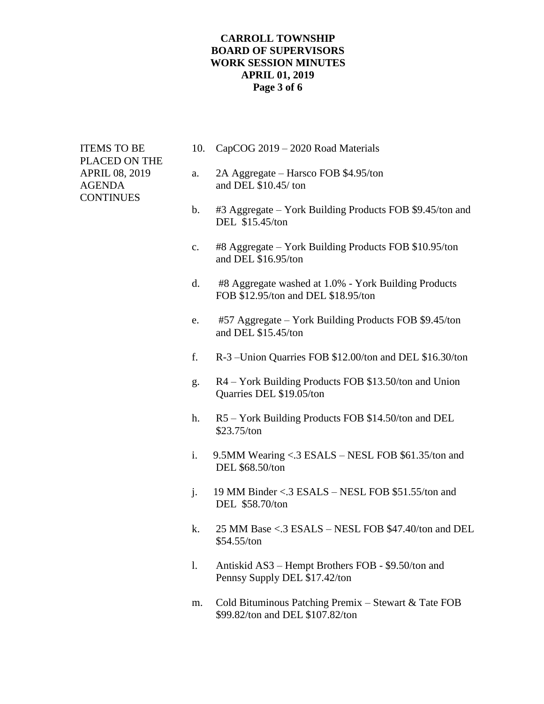#### **CARROLL TOWNSHIP BOARD OF SUPERVISORS WORK SESSION MINUTES APRIL 01, 2019 Page 3 of 6**

PLACED ON THE **CONTINUES** 

- ITEMS TO BE 10. CapCOG 2019 2020 Road Materials
- APRIL 08, 2019 a. 2A Aggregate Harsco FOB \$4.95/ton AGENDA and DEL \$10.45/ ton
	- b. #3 Aggregate York Building Products FOB \$9.45/ton and DEL \$15.45/ton
	- c. #8 Aggregate York Building Products FOB \$10.95/ton and DEL \$16.95/ton
	- d. #8 Aggregate washed at 1.0% York Building Products FOB \$12.95/ton and DEL \$18.95/ton
	- e. #57 Aggregate York Building Products FOB \$9.45/ton and DEL \$15.45/ton
	- f. R-3 –Union Quarries FOB \$12.00/ton and DEL \$16.30/ton
	- g. R4 York Building Products FOB \$13.50/ton and Union Quarries DEL \$19.05/ton
	- h. R5 York Building Products FOB \$14.50/ton and DEL \$23.75/ton
	- i. 9.5MM Wearing  $\langle .3 \rangle$  ESALS NESL FOB \$61.35/ton and DEL \$68.50/ton
	- j. 19 MM Binder <.3 ESALS NESL FOB \$51.55/ton and DEL \$58.70/ton
	- k. 25 MM Base <.3 ESALS NESL FOB \$47.40/ton and DEL \$54.55/ton
	- l. Antiskid AS3 Hempt Brothers FOB \$9.50/ton and Pennsy Supply DEL \$17.42/ton
	- m. Cold Bituminous Patching Premix Stewart & Tate FOB \$99.82/ton and DEL \$107.82/ton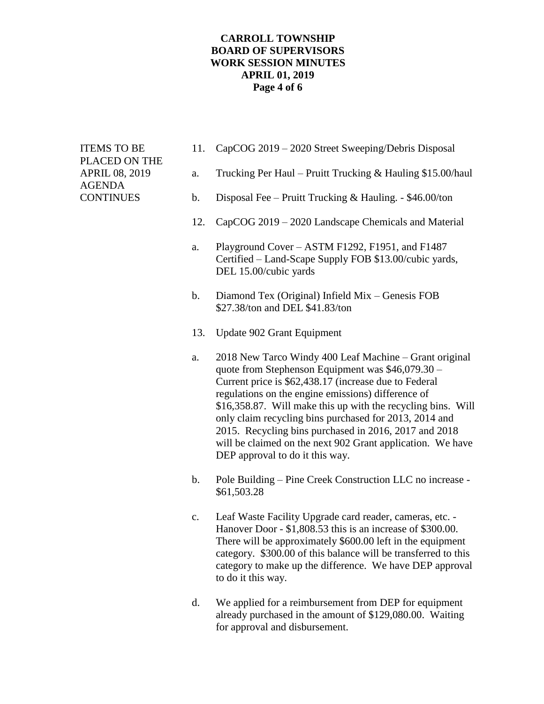#### **CARROLL TOWNSHIP BOARD OF SUPERVISORS WORK SESSION MINUTES APRIL 01, 2019 Page 4 of 6**

PLACED ON THE AGENDA

- ITEMS TO BE 11. CapCOG 2019 2020 Street Sweeping/Debris Disposal
- APRIL 08, 2019 a. Trucking Per Haul Pruitt Trucking & Hauling \$15.00/haul
- CONTINUES b. Disposal Fee Pruitt Trucking & Hauling. \$46.00/ton
	- 12. CapCOG 2019 2020 Landscape Chemicals and Material
	- a. Playground Cover ASTM F1292, F1951, and F1487 Certified – Land-Scape Supply FOB \$13.00/cubic yards, DEL 15.00/cubic yards
	- b. Diamond Tex (Original) Infield Mix Genesis FOB \$27.38/ton and DEL \$41.83/ton
	- 13. Update 902 Grant Equipment
	- a. 2018 New Tarco Windy 400 Leaf Machine Grant original quote from Stephenson Equipment was \$46,079.30 – Current price is \$62,438.17 (increase due to Federal regulations on the engine emissions) difference of \$16,358.87. Will make this up with the recycling bins. Will only claim recycling bins purchased for 2013, 2014 and 2015. Recycling bins purchased in 2016, 2017 and 2018 will be claimed on the next 902 Grant application. We have DEP approval to do it this way.
	- b. Pole Building Pine Creek Construction LLC no increase \$61,503.28
	- c. Leaf Waste Facility Upgrade card reader, cameras, etc. Hanover Door - \$1,808.53 this is an increase of \$300.00. There will be approximately \$600.00 left in the equipment category. \$300.00 of this balance will be transferred to this category to make up the difference. We have DEP approval to do it this way.
	- d. We applied for a reimbursement from DEP for equipment already purchased in the amount of \$129,080.00. Waiting for approval and disbursement.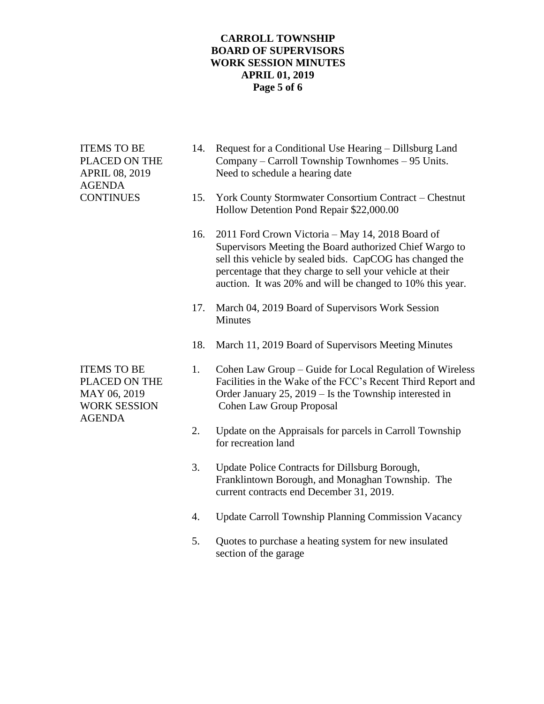# **CARROLL TOWNSHIP BOARD OF SUPERVISORS WORK SESSION MINUTES APRIL 01, 2019 Page 5 of 6**

| <b>ITEMS TO BE</b><br>PLACED ON THE<br><b>APRIL 08, 2019</b><br><b>AGENDA</b><br><b>CONTINUES</b> | 14. | Request for a Conditional Use Hearing – Dillsburg Land<br>Company – Carroll Township Townhomes – 95 Units.<br>Need to schedule a hearing date                                                                                                                                                     |
|---------------------------------------------------------------------------------------------------|-----|---------------------------------------------------------------------------------------------------------------------------------------------------------------------------------------------------------------------------------------------------------------------------------------------------|
|                                                                                                   | 15. | York County Stormwater Consortium Contract - Chestnut<br>Hollow Detention Pond Repair \$22,000.00                                                                                                                                                                                                 |
|                                                                                                   | 16. | 2011 Ford Crown Victoria - May 14, 2018 Board of<br>Supervisors Meeting the Board authorized Chief Wargo to<br>sell this vehicle by sealed bids. CapCOG has changed the<br>percentage that they charge to sell your vehicle at their<br>auction. It was 20% and will be changed to 10% this year. |
|                                                                                                   | 17. | March 04, 2019 Board of Supervisors Work Session<br>Minutes                                                                                                                                                                                                                                       |
|                                                                                                   | 18. | March 11, 2019 Board of Supervisors Meeting Minutes                                                                                                                                                                                                                                               |
| <b>ITEMS TO BE</b><br>PLACED ON THE<br>MAY 06, 2019<br><b>WORK SESSION</b><br><b>AGENDA</b>       | 1.  | Cohen Law Group - Guide for Local Regulation of Wireless<br>Facilities in the Wake of the FCC's Recent Third Report and<br>Order January $25$ , $2019 -$ Is the Township interested in<br><b>Cohen Law Group Proposal</b>                                                                         |
|                                                                                                   | 2.  | Update on the Appraisals for parcels in Carroll Township<br>for recreation land                                                                                                                                                                                                                   |
|                                                                                                   | 3.  | Update Police Contracts for Dillsburg Borough,<br>Franklintown Borough, and Monaghan Township. The<br>current contracts end December 31, 2019.                                                                                                                                                    |
|                                                                                                   | 4.  | <b>Update Carroll Township Planning Commission Vacancy</b>                                                                                                                                                                                                                                        |
|                                                                                                   | 5.  | Quotes to purchase a heating system for new insulated<br>section of the garage                                                                                                                                                                                                                    |